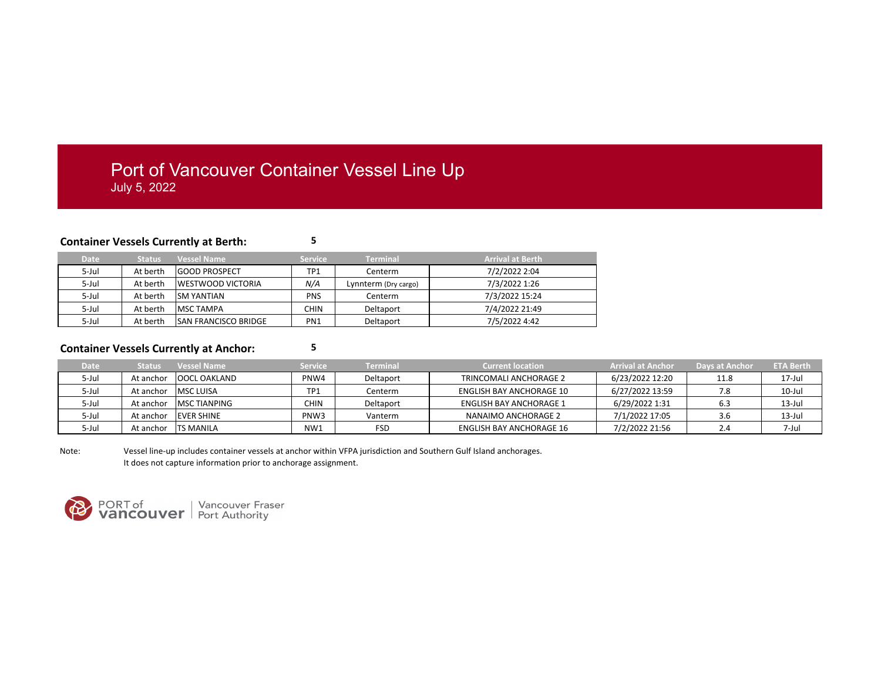## Port of Vancouver Container Vessel Line Up July 5, 2022

## **Container Vessels Currently at Berth: 5**

| <b>Date</b> | <b>Status</b> | <b>Vessel Name</b>           | <b>Service</b> | <b>Terminal</b>      | <b>Arrival at Berth</b> |
|-------------|---------------|------------------------------|----------------|----------------------|-------------------------|
| $5$ -Jul    | At berth      | <b>GOOD PROSPECT</b>         | TP1            | Centerm              | 7/2/2022 2:04           |
| $5$ -Jul    | At berth      | <b>IWESTWOOD VICTORIA</b>    | N/A            | Lynnterm (Dry cargo) | 7/3/2022 1:26           |
| $5$ -Jul    | At berth      | <b>ISM YANTIAN</b>           | PNS.           | Centerm              | 7/3/2022 15:24          |
| $5$ -Jul    | At berth      | <b>IMSC TAMPA</b>            | <b>CHIN</b>    | Deltaport            | 7/4/2022 21:49          |
| 5-Jul       | At berth      | <b>ISAN FRANCISCO BRIDGE</b> | PN1            | Deltaport            | 7/5/2022 4:42           |

## **Container Vessels Currently at Anchor: 5**

| <b>Date</b> | <b>Status</b> | <b>Vessel Name</b>  | <b>Service</b>   | Terminal   | <b>Current location</b>        | Arrival at Anchor | <b>Days at Anchor</b> | <b>ETA Berth</b> |
|-------------|---------------|---------------------|------------------|------------|--------------------------------|-------------------|-----------------------|------------------|
| 5-Jul       | At anchor     | <b>OOCL OAKLAND</b> | PNW4             | Deltaport  | TRINCOMALI ANCHORAGE 2         | 6/23/2022 12:20   | 11.8                  | 17-Jul           |
| 5-Jul       | At anchor     | <b>MSC LUISA</b>    | TP1              | Centerm    | ENGLISH BAY ANCHORAGE 10       | 6/27/2022 13:59   |                       | 10-Jul           |
| 5-Jul       | At anchor     | IMSC TIANPING       | <b>CHIN</b>      | Deltaport  | <b>ENGLISH BAY ANCHORAGE 1</b> | 6/29/2022 1:31    | 6.3                   | $13$ -Jul        |
| 5-Jul       | At anchor     | <b>EVER SHINE</b>   | PNW <sub>3</sub> | Vanterm    | NANAIMO ANCHORAGE 2            | 7/1/2022 17:05    | 3.6                   | $13$ -Jul        |
| 5-Jul       | At anchor     | <b>ITS MANILA</b>   | NW1              | <b>FSD</b> | ENGLISH BAY ANCHORAGE 16       | 7/2/2022 21:56    | ، ے                   | 7-Jul            |

Note: Vessel line-up includes container vessels at anchor within VFPA jurisdiction and Southern Gulf Island anchorages. It does not capture information prior to anchorage assignment.